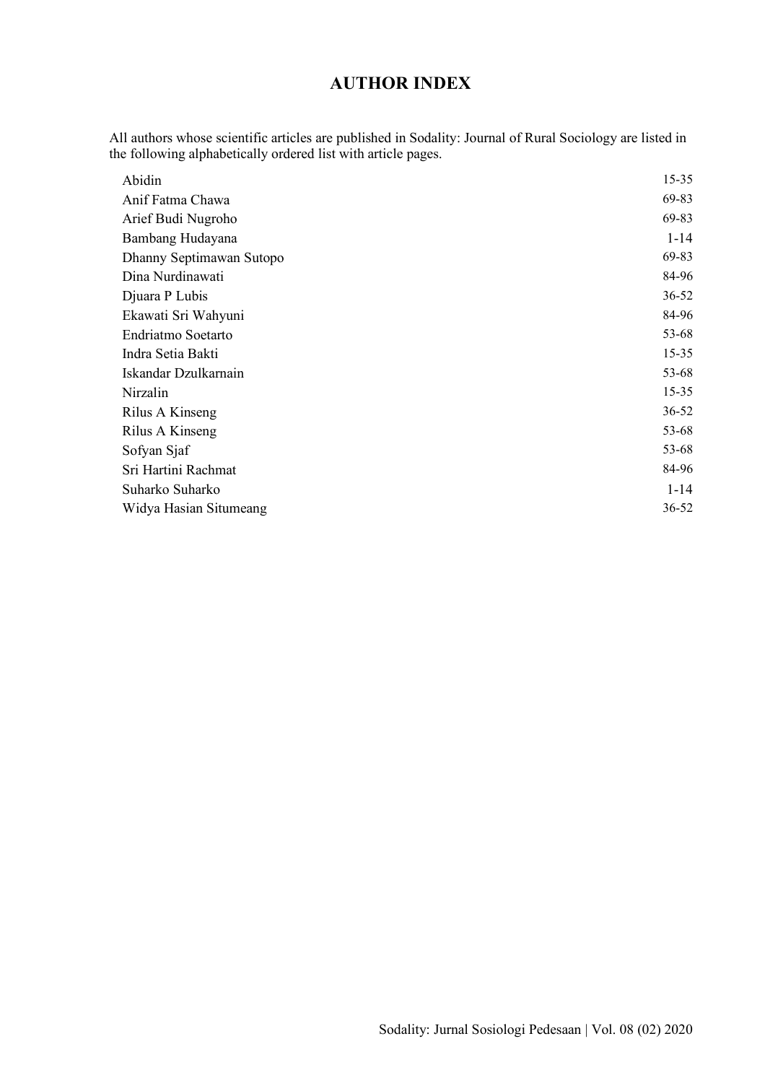## **AUTHOR INDEX**

All authors whose scientific articles are published in Sodality: Journal of Rural Sociology are listed in the following alphabetically ordered list with article pages.

| Abidin                   | $15 - 35$ |
|--------------------------|-----------|
| Anif Fatma Chawa         | 69-83     |
| Arief Budi Nugroho       | 69-83     |
| Bambang Hudayana         | $1 - 14$  |
| Dhanny Septimawan Sutopo | 69-83     |
| Dina Nurdinawati         | 84-96     |
| Djuara P Lubis           | $36 - 52$ |
| Ekawati Sri Wahyuni      | 84-96     |
| Endriatmo Soetarto       | 53-68     |
| Indra Setia Bakti        | $15 - 35$ |
| Iskandar Dzulkarnain     | 53-68     |
| Nirzalin                 | $15 - 35$ |
| Rilus A Kinseng          | 36-52     |
| Rilus A Kinseng          | 53-68     |
| Sofyan Sjaf              | 53-68     |
| Sri Hartini Rachmat      | 84-96     |
| Suharko Suharko          | $1 - 14$  |
| Widya Hasian Situmeang   | $36 - 52$ |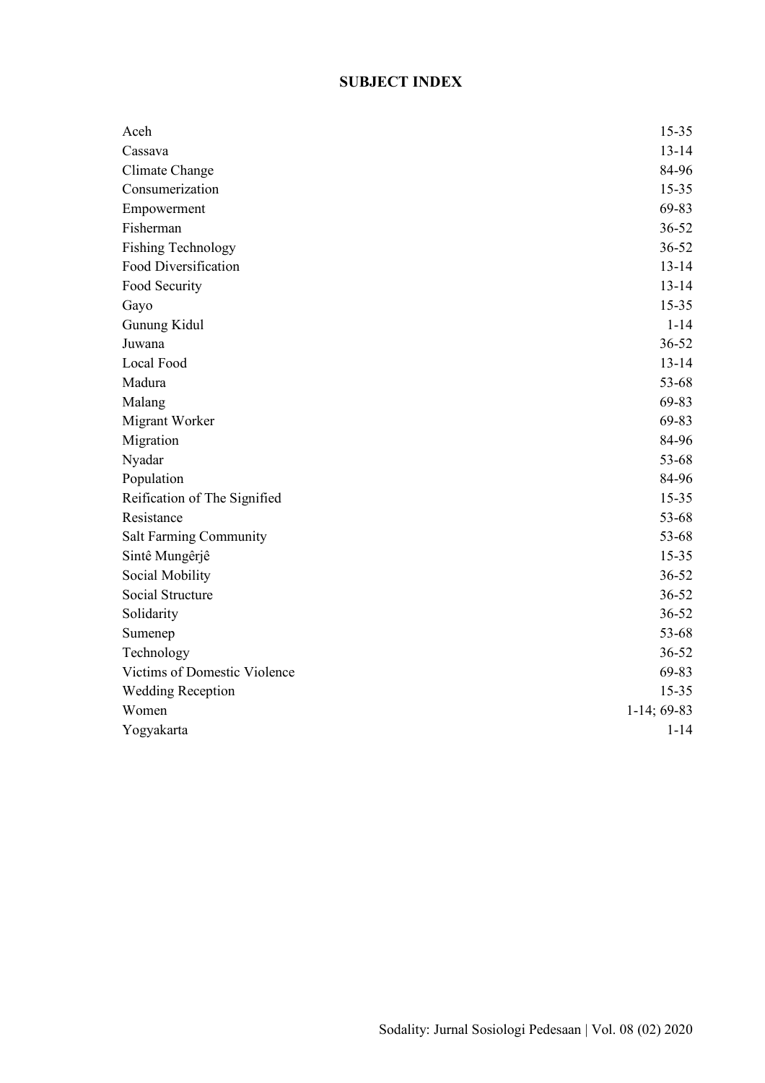## **SUBJECT INDEX**

| Aceh                          | $15 - 35$     |
|-------------------------------|---------------|
| Cassava                       | $13 - 14$     |
| Climate Change                | 84-96         |
| Consumerization               | $15 - 35$     |
| Empowerment                   | 69-83         |
| Fisherman                     | $36 - 52$     |
| <b>Fishing Technology</b>     | $36 - 52$     |
| Food Diversification          | $13 - 14$     |
| Food Security                 | $13 - 14$     |
| Gayo                          | $15 - 35$     |
| Gunung Kidul                  | $1 - 14$      |
| Juwana                        | $36 - 52$     |
| Local Food                    | $13 - 14$     |
| Madura                        | 53-68         |
| Malang                        | 69-83         |
| Migrant Worker                | 69-83         |
| Migration                     | 84-96         |
| Nyadar                        | 53-68         |
| Population                    | 84-96         |
| Reification of The Signified  | $15 - 35$     |
| Resistance                    | 53-68         |
| <b>Salt Farming Community</b> | 53-68         |
| Sintê Mungêrjê                | $15 - 35$     |
| Social Mobility               | $36 - 52$     |
| Social Structure              | $36 - 52$     |
| Solidarity                    | $36 - 52$     |
| Sumenep                       | 53-68         |
| Technology                    | $36 - 52$     |
| Victims of Domestic Violence  | 69-83         |
| <b>Wedding Reception</b>      | $15 - 35$     |
| Women                         | $1-14; 69-83$ |
| Yogyakarta                    | $1 - 14$      |